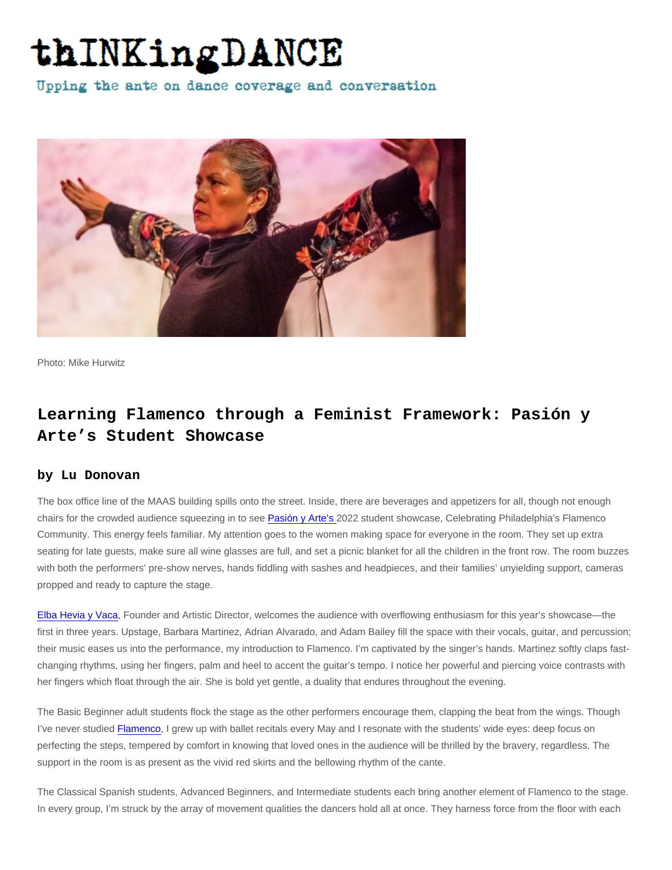Photo: Mike Hurwitz

## Learning Flamenco through a Feminist Framework: Pasión y Arte's Student Showcase

## by Lu Donovan

The box office line of the MAAS building spills onto the street. Inside, there are beverages and appetizers for all, though not enough chairs for the crowded audience squeezing in to see [Pasión y Arte's 2](https://pasionyarteflamenco.org/)022 student showcase, Celebrating Philadelphia's Flamenco Community. This energy feels familiar. My attention goes to the women making space for everyone in the room. They set up extra seating for late guests, make sure all wine glasses are full, and set a picnic blanket for all the children in the front row. The room buzzes with both the performers' pre-show nerves, hands fiddling with sashes and headpieces, and their families' unyielding support, cameras propped and ready to capture the stage.

[Elba Hevia y Vaca,](https://thinkingdance.net/articles/2012/02/29/Flamenco-Now) Founder and Artistic Director, welcomes the audience with overflowing enthusiasm for this year's showcase—the first in three years. Upstage, Barbara Martinez, Adrian Alvarado, and Adam Bailey fill the space with their vocals, guitar, and percussion; their music eases us into the performance, my introduction to Flamenco. I'm captivated by the singer's hands. Martinez softly claps fastchanging rhythms, using her fingers, palm and heel to accent the guitar's tempo. I notice her powerful and piercing voice contrasts with her fingers which float through the air. She is bold yet gentle, a duality that endures throughout the evening.

The Basic Beginner adult students flock the stage as the other performers encourage them, clapping the beat from the wings. Though I've never studied [Flamenco,](https://thinkingdance.net/articles/2012/04/04/Re-imagining-Flamenco-Rosario-Toledo-and-Pasin-y-Arte-at-the-First-Philadelphia-Flamenco-Festival) I grew up with ballet recitals every May and I resonate with the students' wide eyes: deep focus on perfecting the steps, tempered by comfort in knowing that loved ones in the audience will be thrilled by the bravery, regardless. The support in the room is as present as the vivid red skirts and the bellowing rhythm of the cante.

The Classical Spanish students, Advanced Beginners, and Intermediate students each bring another element of Flamenco to the stage. In every group, I'm struck by the array of movement qualities the dancers hold all at once. They harness force from the floor with each